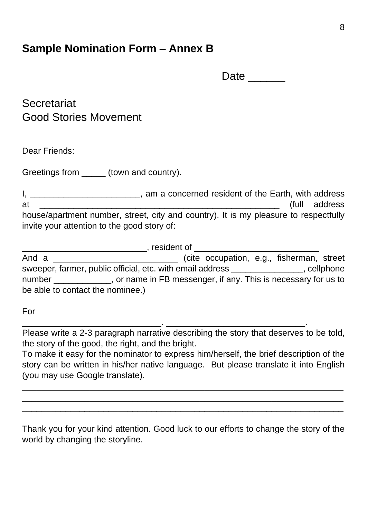## **Sample Nomination Form – Annex B**

| tΛ<br>Date |  |
|------------|--|
|------------|--|

**Secretariat** Good Stories Movement

Dear Friends:

Greetings from \_\_\_\_\_\_\_ (town and country).

I, \_\_\_\_\_\_\_\_\_\_\_\_\_\_\_\_\_\_\_\_\_\_\_\_\_\_\_, am a concerned resident of the Earth, with address at \_\_\_\_\_\_\_\_\_\_\_\_\_\_\_\_\_\_\_\_\_\_\_\_\_\_\_\_\_\_\_\_\_\_\_\_\_\_\_\_\_\_\_\_\_\_\_\_\_\_ (full address house/apartment number, street, city and country). It is my pleasure to respectfully invite your attention to the good story of:

|                                                                                          | resident of                                                    |  |
|------------------------------------------------------------------------------------------|----------------------------------------------------------------|--|
| And a                                                                                    | (cite occupation, e.g., fisherman, street                      |  |
| sweeper, farmer, public official, etc. with email address _______________<br>, cellphone |                                                                |  |
| number                                                                                   | , or name in FB messenger, if any. This is necessary for us to |  |
| be able to contact the nominee.)                                                         |                                                                |  |

For

Please write a 2-3 paragraph narrative describing the story that deserves to be told, the story of the good, the right, and the bright.

\_\_\_\_\_\_\_\_\_\_\_\_\_\_\_\_\_\_\_\_\_\_\_\_\_\_\_\_\_. \_\_\_\_\_\_\_\_\_\_\_\_\_\_\_\_\_\_\_\_\_\_\_\_\_\_\_\_\_.

To make it easy for the nominator to express him/herself, the brief description of the story can be written in his/her native language. But please translate it into English (you may use Google translate).

 $\_$  , and the set of the set of the set of the set of the set of the set of the set of the set of the set of the set of the set of the set of the set of the set of the set of the set of the set of the set of the set of th \_\_\_\_\_\_\_\_\_\_\_\_\_\_\_\_\_\_\_\_\_\_\_\_\_\_\_\_\_\_\_\_\_\_\_\_\_\_\_\_\_\_\_\_\_\_\_\_\_\_\_\_\_\_\_\_\_\_\_\_\_\_\_\_\_\_\_ \_\_\_\_\_\_\_\_\_\_\_\_\_\_\_\_\_\_\_\_\_\_\_\_\_\_\_\_\_\_\_\_\_\_\_\_\_\_\_\_\_\_\_\_\_\_\_\_\_\_\_\_\_\_\_\_\_\_\_\_\_\_\_\_\_\_\_

Thank you for your kind attention. Good luck to our efforts to change the story of the world by changing the storyline.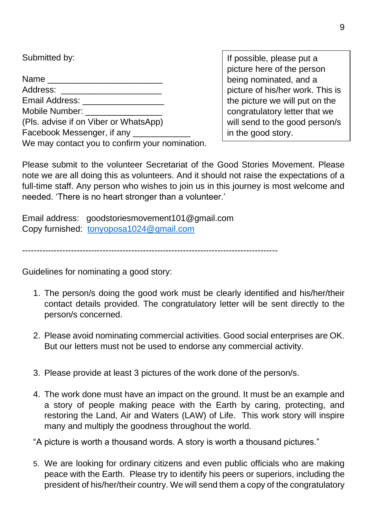Submitted by: Name \_\_\_\_\_\_\_\_\_\_\_\_\_\_\_\_\_\_\_\_\_\_\_\_ Address: Email Address: Mobile Number: (Pls. advise if on Viber or WhatsApp) Facebook Messenger, if any We may contact you to confirm your nomination.

If possible, please put a picture here of the person being nominated, and a picture of his/her work. This is the picture we will put on the congratulatory letter that we will send to the good person/s in the good story.

Please submit to the volunteer Secretariat of the Good Stories Movement. Please note we are all doing this as volunteers. And it should not raise the expectations of a full-time staff. Any person who wishes to join us in this journey is most welcome and needed. 'There is no heart stronger than a volunteer.'

Email address: goodstoriesmovement101@gmail.com Copy furnished: [tonyoposa1024@gmail.com](mailto:tonyoposa1024@gmail.com)

-----------------------------------------------------------------------------------------

Guidelines for nominating a good story:

- 1. The person/s doing the good work must be clearly identified and his/her/their contact details provided. The congratulatory letter will be sent directly to the person/s concerned.
- 2. Please avoid nominating commercial activities. Good social enterprises are OK. But our letters must not be used to endorse any commercial activity.
- 3. Please provide at least 3 pictures of the work done of the person/s.
- 4. The work done must have an impact on the ground. It must be an example and a story of people making peace with the Earth by caring, protecting, and restoring the Land, Air and Waters (LAW) of Life. This work story will inspire many and multiply the goodness throughout the world.

"A picture is worth a thousand words. A story is worth a thousand pictures."

5. We are looking for ordinary citizens and even public officials who are making peace with the Earth. Please try to identify his peers or superiors, including the president of his/her/their country. We will send them a copy of the congratulatory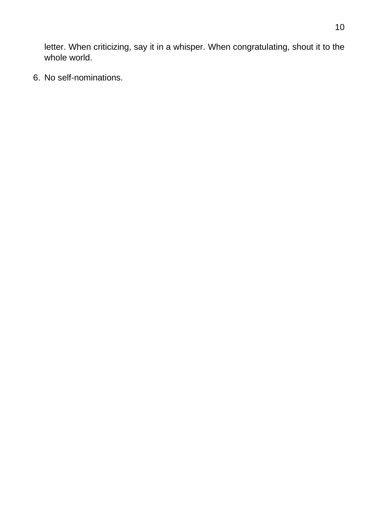letter. When criticizing, say it in a whisper. When congratulating, shout it to the whole world.

6. No self-nominations.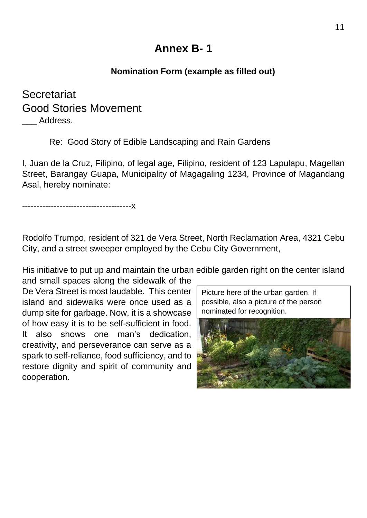# **Annex B- 1**

### **Nomination Form (example as filled out)**

## **Secretariat** Good Stories Movement Address.

Re: Good Story of Edible Landscaping and Rain Gardens

I, Juan de la Cruz, Filipino, of legal age, Filipino, resident of 123 Lapulapu, Magellan Street, Barangay Guapa, Municipality of Magagaling 1234, Province of Magandang Asal, hereby nominate:

--------------------------------------x

Rodolfo Trumpo, resident of 321 de Vera Street, North Reclamation Area, 4321 Cebu City, and a street sweeper employed by the Cebu City Government,

His initiative to put up and maintain the urban edible garden right on the center island

and small spaces along the sidewalk of the De Vera Street is most laudable. This center island and sidewalks were once used as a dump site for garbage. Now, it is a showcase of how easy it is to be self-sufficient in food. It also shows one man's dedication, creativity, and perseverance can serve as a spark to self-reliance, food sufficiency, and to restore dignity and spirit of community and cooperation.

Picture here of the urban garden. If possible, also a picture of the person nominated for recognition.

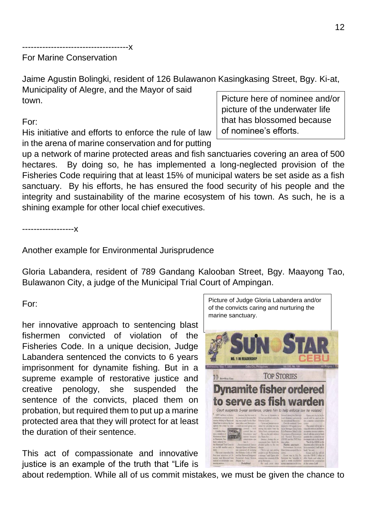-------------------------------------x

### For Marine Conservation

Jaime Agustin Bolingki, resident of 126 Bulawanon Kasingkasing Street, Bgy. Ki-at, Municipality of Alegre, and the Mayor of said town.

#### For:

His initiative and efforts to enforce the rule of law in the arena of marine conservation and for putting

up a network of marine protected areas and fish sanctuaries covering an area of 500 hectares. By doing so, he has implemented a long-neglected provision of the Fisheries Code requiring that at least 15% of municipal waters be set aside as a fish sanctuary. By his efforts, he has ensured the food security of his people and the integrity and sustainability of the marine ecosystem of his town. As such, he is a shining example for other local chief executives.

------------------x

Another example for Environmental Jurisprudence

Gloria Labandera, resident of 789 Gandang Kalooban Street, Bgy. Maayong Tao, Bulawanon City, a judge of the Municipal Trial Court of Ampingan.

For:

her innovative approach to sentencing blast fishermen convicted of violation of the Fisheries Code. In a unique decision, Judge Labandera sentenced the convicts to 6 years imprisonment for dynamite fishing. But in a supreme example of restorative justice and creative penology, she suspended the sentence of the convicts, placed them on probation, but required them to put up a marine protected area that they will protect for at least the duration of their sentence.

This act of compassionate and innovative justice is an example of the truth that "Life is

about redemption. While all of us commit mistakes, we must be given the chance to



Picture of Judge Gloria Labandera and/or

Picture here of nominee and/or picture of the underwater life that has blossomed because of nominee's efforts.